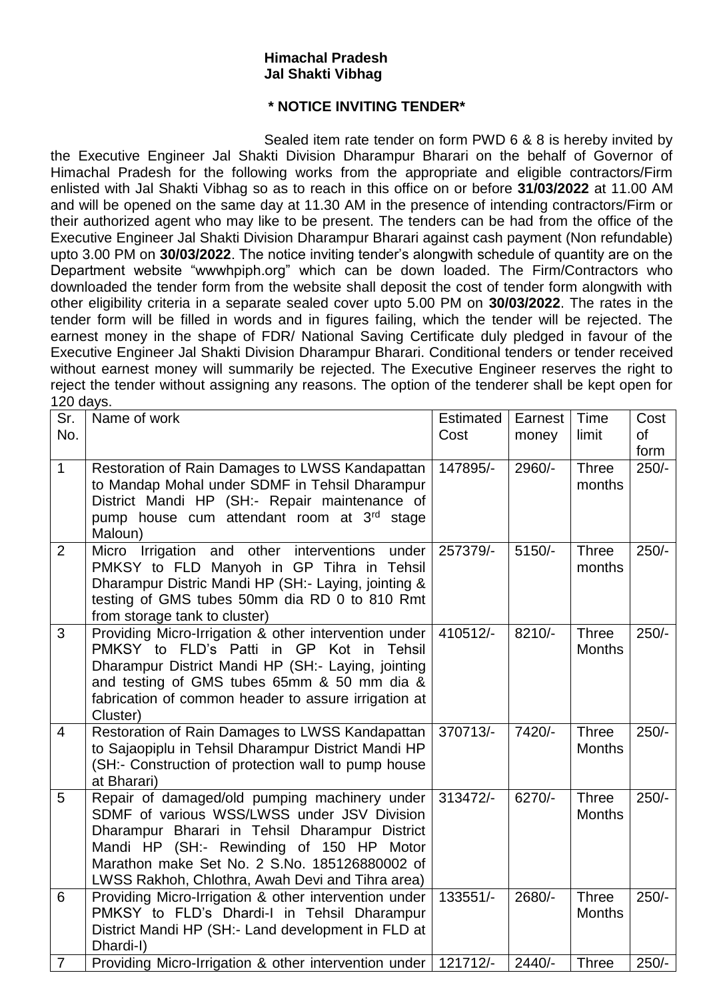## **Himachal Pradesh Jal Shakti Vibhag**

## **\* NOTICE INVITING TENDER\***

Sealed item rate tender on form PWD 6 & 8 is hereby invited by the Executive Engineer Jal Shakti Division Dharampur Bharari on the behalf of Governor of Himachal Pradesh for the following works from the appropriate and eligible contractors/Firm enlisted with Jal Shakti Vibhag so as to reach in this office on or before **31/03/2022** at 11.00 AM and will be opened on the same day at 11.30 AM in the presence of intending contractors/Firm or their authorized agent who may like to be present. The tenders can be had from the office of the Executive Engineer Jal Shakti Division Dharampur Bharari against cash payment (Non refundable) upto 3.00 PM on **30/03/2022**. The notice inviting tender's alongwith schedule of quantity are on the Department website "wwwhpiph.org" which can be down loaded. The Firm/Contractors who downloaded the tender form from the website shall deposit the cost of tender form alongwith with other eligibility criteria in a separate sealed cover upto 5.00 PM on **30/03/2022**. The rates in the tender form will be filled in words and in figures failing, which the tender will be rejected. The earnest money in the shape of FDR/ National Saving Certificate duly pledged in favour of the Executive Engineer Jal Shakti Division Dharampur Bharari. Conditional tenders or tender received without earnest money will summarily be rejected. The Executive Engineer reserves the right to reject the tender without assigning any reasons. The option of the tenderer shall be kept open for 120 days.

| Sr.<br>No.     | Name of work                                                                                                                                                                                                                                                                                    | Estimated<br>Cost | Earnest<br>money | Time<br>limit                 | Cost<br><b>of</b> |
|----------------|-------------------------------------------------------------------------------------------------------------------------------------------------------------------------------------------------------------------------------------------------------------------------------------------------|-------------------|------------------|-------------------------------|-------------------|
| $\mathbf{1}$   | Restoration of Rain Damages to LWSS Kandapattan<br>to Mandap Mohal under SDMF in Tehsil Dharampur<br>District Mandi HP (SH:- Repair maintenance of<br>pump house cum attendant room at 3 <sup>rd</sup> stage<br>Maloun)                                                                         | 147895/-          | 2960/-           | <b>Three</b><br>months        | form<br>$250/-$   |
| $\overline{2}$ | Micro Irrigation and other interventions<br>under<br>PMKSY to FLD Manyoh in GP Tihra in Tehsil<br>Dharampur Distric Mandi HP (SH: - Laying, jointing &<br>testing of GMS tubes 50mm dia RD 0 to 810 Rmt<br>from storage tank to cluster)                                                        | 257379/-          | $5150/-$         | <b>Three</b><br>months        | $250/-$           |
| 3              | Providing Micro-Irrigation & other intervention under<br>PMKSY to FLD's Patti<br>in GP Kot in Tehsil<br>Dharampur District Mandi HP (SH:- Laying, jointing<br>and testing of GMS tubes 65mm & 50 mm dia &<br>fabrication of common header to assure irrigation at<br>Cluster)                   | 410512/-          | $8210/-$         | <b>Three</b><br><b>Months</b> | $250/-$           |
| 4              | Restoration of Rain Damages to LWSS Kandapattan<br>to Sajaopiplu in Tehsil Dharampur District Mandi HP<br>(SH:- Construction of protection wall to pump house<br>at Bharari)                                                                                                                    | 370713/-          | 7420/-           | <b>Three</b><br><b>Months</b> | $250/-$           |
| 5              | Repair of damaged/old pumping machinery under<br>SDMF of various WSS/LWSS under JSV Division<br>Dharampur Bharari in Tehsil Dharampur District<br>Mandi HP (SH:- Rewinding of 150 HP Motor<br>Marathon make Set No. 2 S.No. 185126880002 of<br>LWSS Rakhoh, Chlothra, Awah Devi and Tihra area) | 313472/-          | $6270/-$         | <b>Three</b><br><b>Months</b> | $250/-$           |
| 6              | Providing Micro-Irrigation & other intervention under<br>PMKSY to FLD's Dhardi-I in Tehsil Dharampur<br>District Mandi HP (SH:- Land development in FLD at<br>Dhardi-I)                                                                                                                         | 133551/-          | 2680/-           | <b>Three</b><br><b>Months</b> | $250/-$           |
| $\overline{7}$ | Providing Micro-Irrigation & other intervention under                                                                                                                                                                                                                                           | 121712/-          | $2440/-$         | <b>Three</b>                  | $250/-$           |